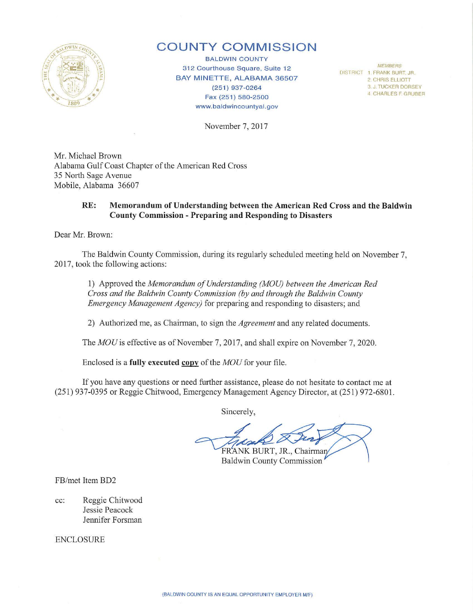

# **COUNTY COMMISSION**

BALDWIN COUNTY 312 Courthouse Square, Suite 12 BAY MINETTE, ALABAMA 36507 (251) 937-0264 Fax (251) 580-2500 www. baldwincountyal.gov

*MEMBERS*  DISTRICT 1 FRANK BURT. JR. 2 CHRIS ELLIOTI 3 J. TUCKER DORSEY 4 CHARLES F GRUBER

November 7, 2017

Mr. Michael Brown Alabama Gulf Coast Chapter of the American Red Cross 35 North Sage Avenue Mobile, Alabama 36607

## **RE: Memorandum of Understanding between the American Red Cross and the Baldwin County Commission - Preparing and Responding to Disasters**

Dear Mr. Brown:

The Baldwin County Commission, during its regularly scheduled meeting held on November 7, 2017, took the following actions:

**1)** Approved the *Memorandum of Understanding (MOU) between the American Red Cross and the Baldwin County Commission (by and through the Baldwin County Emergency Management Agency)* for preparing and responding to disasters; and

2) Authorized me, as Chairman, to sign the *Agreement* and any related documents.

The *MOU* is effective as of November 7, 2017, and shall expire on November 7, 2020.

Enclosed is a **fuUy executed copv** of the *MOU* for your file.

If you have any questions or need fwther assistance, please do not hesitate to contact me at (25 1) 937-0395 or Reggie Chitwood, Emergency Management Agency Director, at (251) 972-6801.

Sincerely,

FRANK BURT, JR., Chairman

Baldwin County Commission

FB/met Item BD2

cc: Reggie Chitwood Jessie Peacock Jennifer Forsman

ENCLOSURE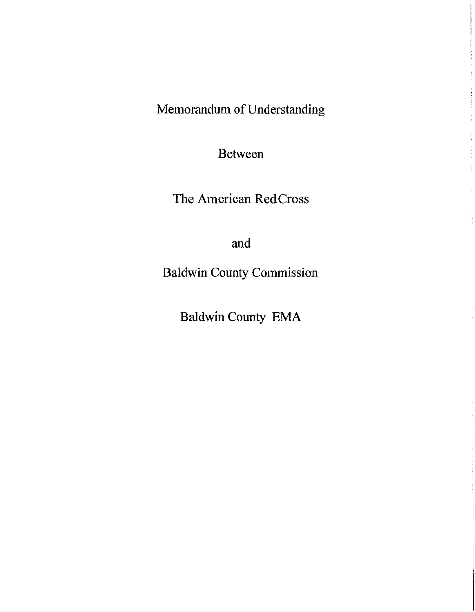Memorandum of Understanding

Between

The American Red Cross

and

Baldwin County Commission

Baldwin County EMA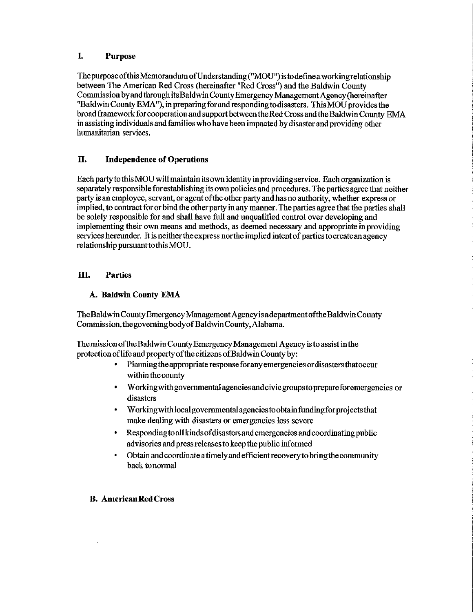# I. Purpose

The purpose ofthisMemoraudum ofU nderstauding ("MOU") is to define a working relationship between The American Red Cross (hereinafter "Red Cross") and the Baldwin County Commission by and through its Baldwin County Emergency Management Agency (hereinafter "Baldwin County EMA"), in preparing for and responding to disasters. This MOU provides the broad framework for cooperation and support between the Red Cross and the Baldwin County EMA in assisting individuals and fumilies who have been impacted by disaster and providing other humanitarian services.

# II. Independence of Operations

Each partytothisMOU will maintain its own identity in providing service. Each organization is separately responsible for establishing its own policies and procedures. The parties agree that neither party is an employee, servant, or agent ofthe other party and has no authority, whether express or implied, to contract for or bind the other party in any manner. The parties agree that the parties shall be solely responsible for and shall have full and unqualified control over developing and implementing their own means and methods, as deemed necessary and appropriate in providing services hereunder. It is neither the express northe implied intent of parties tocreateanagency relationship pursuant to this MOU.

# III. Parties

# A. Baldwin County EMA

The Baldwin County Emergency Management Agency is a department of the Baldwin County Commission, the governing body of Baldwin County,Alabama.

The mission ofthe Baldwin County Emergency Management Agency is to assist in the protectionoflife and property of the citizens ofBaldwin County by:

- Planning the appropriate response for any emergencies or disasters that occur within the county
- W orkingwith governmental agencies and civic groups to prepareforemergencies or disasters
- W orkingwith local governmental agencies toobtainfundingforprojects that make dealing with disasters or emergencies less severe
- Responding to all kinds of disasters and emergencies and coordinating public advisories and press releases to keep the public informed
- Obtain and coordinate a timely and efficient recoveryto bring the community back to normal

### **B. American Red Cross**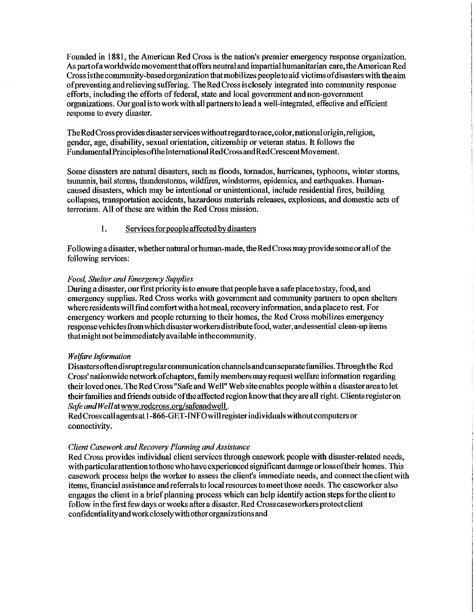Founded in 1881, the American Red Cross is the nation's premier emergency response organization. As part of a worldwide movementthat offers neutral and impartial humanitarian care, the American Red Cross is the community-based organization that mobilizes people to aid victims of disasters with the aim ofpreventingandrelievingsnffering. TheRedCrossisclosely integrated into community response efforts, including the efforts of federal, state and local government and non-government organizations. Our goalisto work with all partners to lead a well-integrated, effective and efficient response to every disaster.

The Red Cross provides disaster services without regard to race, color, national origin, religion, gender, age, disability, sexual orientation, citizenship or veteran status. It follows the Fundamental Principles of the International RedCrossand RedCrescent Movement.

Some disasters are natural disasters, such as floods, tornados, hurricanes, typhoons, winter storms, tsunamis, hail storms, thunderstonns, wildfires, windstorms, epidemics, and earthquakes. Humancaused disasters, which may be intentional or unintentional, include residential fires, building collapses, transportation accidents, hazardous materials releases, explosions, and domestic acts of terrorism. All of these are within the Red Cross mission.

## 1. Services forpeopleaffected by disasters

Following a disaster, whether natural or human-made, the Red Cross may provide some or all of the following services:

### *Food, Shelter and Emergency Supplies*

During a disaster, our first priority is to ensure that people have a safe place to stay, food, and emergency supplies. Red Cross works with government and community partners to open shelters where residents will find comfortwithahotmeal, recovery information, and a place to rest. For emergency workers and people returning to their homes, the Red Cross mobilizes emergency response vehicles from which disaster workers distribute food, water, and essential clean-up items that might not be immediately available inthecommunity.

### *Welfare Information*

Disastersoftendisruptregularcommunicationchannelsandcanseparatefamilies. Through the Red Cross' nationwide network of chapters, family members may request welfare information regarding their loved ones. The Red Cross "Safe and Well" Web site enables people within a disaster area to let their families and friends outside of the affected region knowthatthey are all right. Clients register on *Safe and Well* atwww .redcross.org/safeandwell.

Red Cross call agents at 1-866-GET -INFO will register individuals without computers or connectivity.

### *Client Casework and Recovery Planning and Assistance*

Red Cross provides individual client services through casework people with disaster-related needs, with particular attention to those who have experienced significant damage or lossoftheir homes. This casework process helps the worker to assess the client's immediate needs, and connect the client with items, financial assistance and referrals to local resources to meet those needs. The caseworker also engages the client in a brief planning process which can help identify action steps for the client to follow in the first few days or weeks after a disaster. Red Cross caseworkers protect client confidentialityandworkcloselywithotherorganizationsand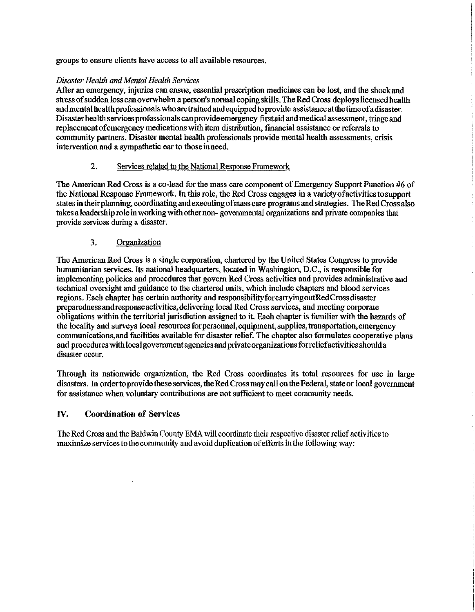groups to ensure clients have access to all available resources.

#### *Disaster Health and Mental Health Services*

After an emergency, injuries can ensue, essential prescription medicines can be lost, and the shock and stress of sudden loss can overwhelm a person's normal coping skills. The Red Cross deploys licensed health and mental health professionals who are trained and equipped to provide assistance atthe time of a disaster. Disaster health services professionals can provide emergency first aid and medical assessment, triage and replacementofemergencymedications with item distribution, financial assistance or referrals to community partners. Disaster mental health professionals provide mental health assessments, crisis intervention and a sympathetic ear to those inneed.

## 2. Services related to the National Response Framework

The American Red Cross is a co-lead for the mass care component of Emergency Support Function #6 of the National Response Framework. In this role, the Red Cross engages in a variety of activities to support states in their planning, coordinating and executing of mass care programs and strategies. The Red Cross also takes a leadership role in working with other non- governmental organizations and private companies that provide services during a disaster.

## 3. Organization

The American Red Cross is a single corporation, chartered by the United States Congress to provide humanitarian services. Its national headquarters, located in Washington, D.C., is responsible for implementing policies and procedures that govern Red Cross activities and provides administrative and technical oversight and guidance to the chartered units, which include chapters and blood services regions. Each chapter has certain authority and responsibilityforcarryingoutRedCrossdisaster preparednessandresponseactivities,delivering local Red Cross services, aud meeting corporate obligations within the territorial jurisdiction assigned to it. Each chapter is familiar with the hazards of the locality and surveys local resources for personnel, equipment, supplies, transportation, emergency communications,and facilities available for disaster relief. The chapter also formulates cooperative plans and procedures with local government agencies and private organizations forreliefactivities should a disaster occur.

Through its nationwide organization, the Red Cross coordinates its total resources for use in large disasters. In order to provide these services, the Red Cross may call on the Federal, state or local government for assistance when voluntary contributions are not sufficient to meet community needs.

## IV. **Coordination** of Services

The Red Cross and the Baldwin County EMA will coordinate their respective disaster relief activities to maximize services to the community and avoid duplication of efforts in the following way: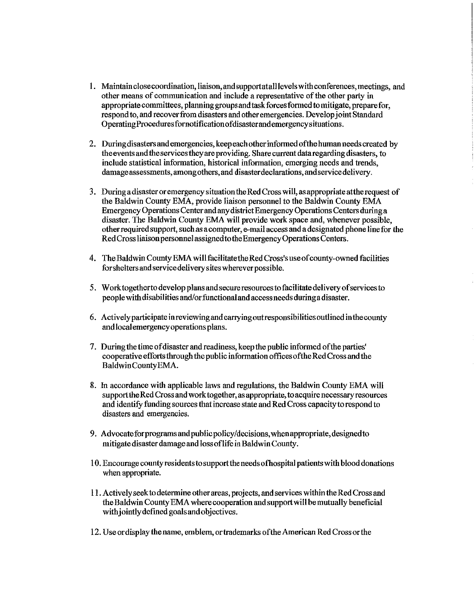- I. Maintainclosecoordination, liaison,andsupportatalllevelswithconferences,meetings, and other means of communication and include a representative of the other party in appropriate committees, planning groups and task forces formed to mitigate, prepare for, respond to, and recover from disasters and other emergencies. Develop joint Standard OperatingProceduresfornotificationofdisasterandemergencysituations.
- 2. During disasters and emergencies, keep each other informed of the human needs created by the events and the services they are providing. Share current data regarding disasters, to include statistical information, historical information, emerging needs and trends, damage assessments, among others, and disaster declarations, and service delivery.
- 3. During a disaster or emergency situation the Red Cross will, as appropriate at the request of the Baldwin County EMA, provide liaison personnel to the Baldwin County EMA Emergency Operations Center and any district Emergency Operations Centers during a disaster. The Baldwin County EMA will provide work space and, whenever possible, other required support, such as a computer, e-mail access and a designated phone line for the Red Cross liaison personnel assigned to the Emergency Operations Centers.
- 4. The Baldwin County EMA willfacilitatetheRedCross's use of county-owned facilities forsheltersandservicedeliverysiteswhereverpossible.
- 5. W orktogetherto develop plans and secure resources to facilitate delivery of services to people with disabilities and/or functional and access needs duriuga disaster.
- 6. Actively participate in reviewing and carrying out responsibilities outlined in the county andlocalemergencyoperations plans.
- 7. During the time of disaster and readiness, keep the public informed of the parties' cooperative efforts through the public information offices of the Red Cross and the Baldwin CountyEMA.
- 8. In accordance with applicable laws and regulations, the Baldwin County EMA will support the Red Cross and work together, as appropriate, to acquire necessary resources and identizy funding sources that increase state and Red Cross capacity to respond to disasters and emergencies.
- 9. Advocateforprograms and public policy/decisions, when appropriate, designed to mitigate disaster damage and loss oflife in Baldwin County.
- I 0. Encourage county residents to support the needs ofhospital patients with blood donations when appropriate.
- II. Actively seek to detennine other areas, projects, and services within the Red Cross and the Baldwin County EMA where cooperation and support will be mutually beneficial with jointly defmed goals andobjectives.
- 12. Use or display the name, emblem, or trademarks of the American Red Cross or the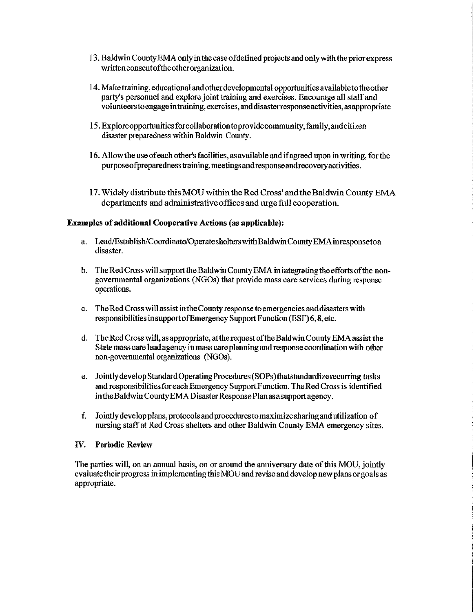- 13. Baldwin County EMA only in the case of defined projects and only with the prior express writtenconsentoftheotherorganization.
- 14. Make training, educational and other developmental opportunities available to the other party's personnel and explore joint training and exercises. Encourage all staff and volunteers to engage in training, exercises, and disasterresponseactivities, as appropriate
- 15. Explore opportunities forcollaboration to provide community, family, and citizen disaster preparedness within Baldwin County.
- 16. Allow the use of each other's facilities, as available and if agreed upon in writing, for the purposeofpreparednesstraining,meetingsandresponseandrecoveryactivities.
- 17. Widely distribute this MOU within the Red Cross' and the Baldwin County EMA departments and administrative offices and urge full cooperation.

#### Examples of additional Cooperative Actions (as applicable):

- a. Lead/Establish/Coordinate/Operateshelters with Baldwin County EMA in responsetoa disaster.
- b. The Red Cross will support the Baldwin County EMA in integratingtheeffotts of the nongovermnental organizations (NGOs) that provide mass care services during response operations.
- c. The Red Cross will assist intheCountyresponse to emergencies and disasters with responsibilities in support ofEmergency Support Function (ESF) 6, 8, etc.
- d. The Red Cross will, as appropriate, at the request of the Baldwin County EMA assist the State mass care lead agency in mass care planning and response coordination with other non-governmental organizations (NGOs).
- e. Jointly develop Standard Operating Procedures (SOPs )thatstandardize recurring tasks and responsibilities for each Emergency Support Function. The Red Cross is identified in the Baldwin County EMA Disaster Response Planas a support agency.
- f. Jointlydevelopplans,protocolsandprocedurestomaximizesharingandutilization of nursing staff at Red Cross shelters and other Baldwin County EMA emergency sites.

#### IV. Periodic Review

The parties will, on an annual basis, on or around the anniversary date of this MOU, jointly evaluate their progress in implementing this MOD and revise and develop new plans or goals as appropriate.